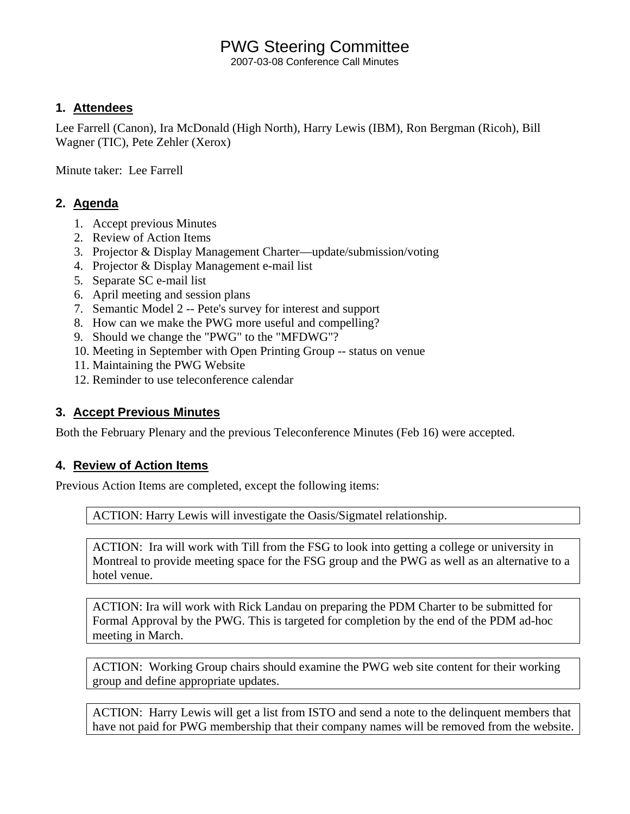## PWG Steering Committee

2007-03-08 Conference Call Minutes

#### **1. Attendees**

Lee Farrell (Canon), Ira McDonald (High North), Harry Lewis (IBM), Ron Bergman (Ricoh), Bill Wagner (TIC), Pete Zehler (Xerox)

Minute taker: Lee Farrell

### **2. Agenda**

- 1. Accept previous Minutes
- 2. Review of Action Items
- 3. Projector & Display Management Charter—update/submission/voting
- 4. Projector & Display Management e-mail list
- 5. Separate SC e-mail list
- 6. April meeting and session plans
- 7. Semantic Model 2 -- Pete's survey for interest and support
- 8. How can we make the PWG more useful and compelling?
- 9. Should we change the "PWG" to the "MFDWG"?
- 10. Meeting in September with Open Printing Group -- status on venue
- 11. Maintaining the PWG Website
- 12. Reminder to use teleconference calendar

#### **3. Accept Previous Minutes**

Both the February Plenary and the previous Teleconference Minutes (Feb 16) were accepted.

#### **4. Review of Action Items**

Previous Action Items are completed, except the following items:

ACTION: Harry Lewis will investigate the Oasis/Sigmatel relationship.

ACTION: Ira will work with Till from the FSG to look into getting a college or university in Montreal to provide meeting space for the FSG group and the PWG as well as an alternative to a hotel venue.

ACTION: Ira will work with Rick Landau on preparing the PDM Charter to be submitted for Formal Approval by the PWG. This is targeted for completion by the end of the PDM ad-hoc meeting in March.

ACTION: Working Group chairs should examine the PWG web site content for their working group and define appropriate updates.

ACTION: Harry Lewis will get a list from ISTO and send a note to the delinquent members that have not paid for PWG membership that their company names will be removed from the website.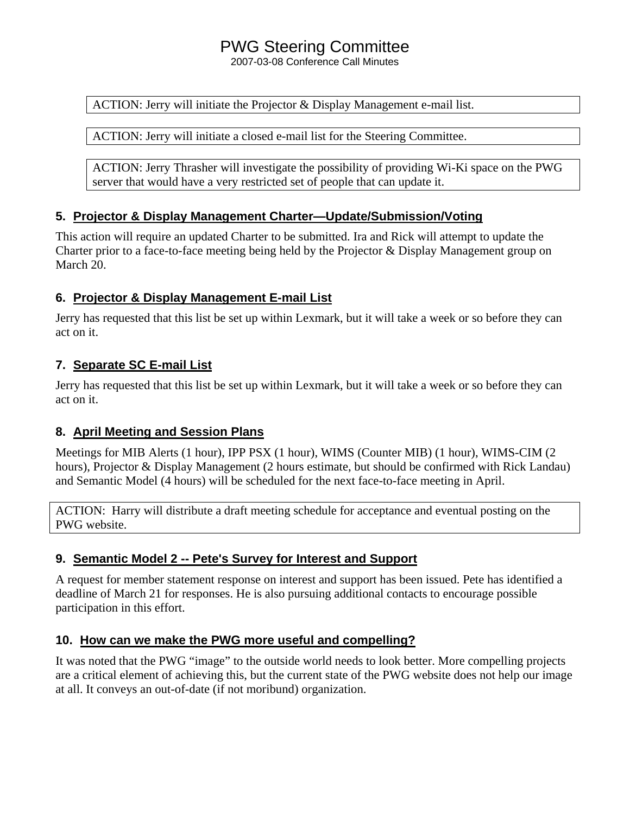# PWG Steering Committee

2007-03-08 Conference Call Minutes

ACTION: Jerry will initiate the Projector & Display Management e-mail list.

ACTION: Jerry will initiate a closed e-mail list for the Steering Committee.

ACTION: Jerry Thrasher will investigate the possibility of providing Wi-Ki space on the PWG server that would have a very restricted set of people that can update it.

### **5. Projector & Display Management Charter—Update/Submission/Voting**

This action will require an updated Charter to be submitted. Ira and Rick will attempt to update the Charter prior to a face-to-face meeting being held by the Projector & Display Management group on March 20.

#### **6. Projector & Display Management E-mail List**

Jerry has requested that this list be set up within Lexmark, but it will take a week or so before they can act on it.

### **7. Separate SC E-mail List**

Jerry has requested that this list be set up within Lexmark, but it will take a week or so before they can act on it.

#### **8. April Meeting and Session Plans**

Meetings for MIB Alerts (1 hour), IPP PSX (1 hour), WIMS (Counter MIB) (1 hour), WIMS-CIM (2 hours), Projector & Display Management (2 hours estimate, but should be confirmed with Rick Landau) and Semantic Model (4 hours) will be scheduled for the next face-to-face meeting in April.

ACTION: Harry will distribute a draft meeting schedule for acceptance and eventual posting on the PWG website.

## **9. Semantic Model 2 -- Pete's Survey for Interest and Support**

A request for member statement response on interest and support has been issued. Pete has identified a deadline of March 21 for responses. He is also pursuing additional contacts to encourage possible participation in this effort.

## **10. How can we make the PWG more useful and compelling?**

It was noted that the PWG "image" to the outside world needs to look better. More compelling projects are a critical element of achieving this, but the current state of the PWG website does not help our image at all. It conveys an out-of-date (if not moribund) organization.